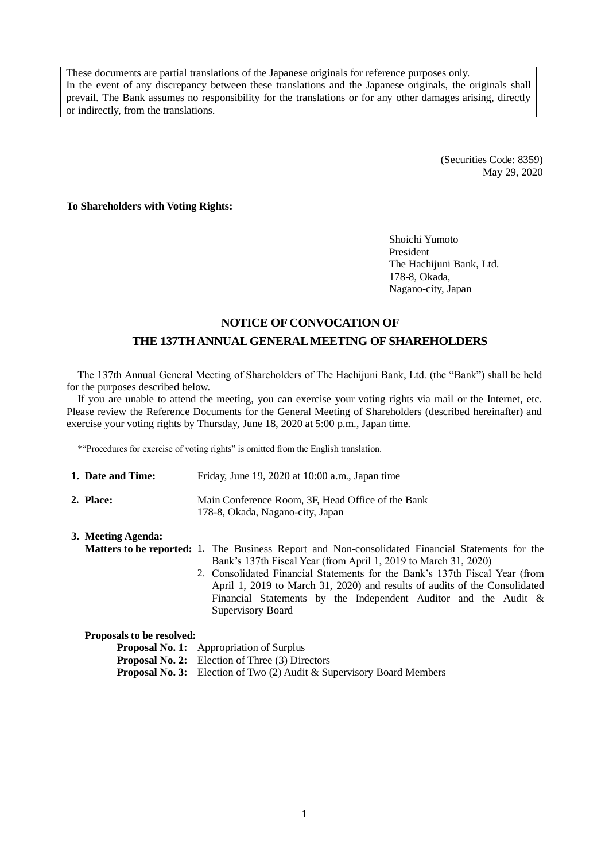These documents are partial translations of the Japanese originals for reference purposes only. In the event of any discrepancy between these translations and the Japanese originals, the originals shall prevail. The Bank assumes no responsibility for the translations or for any other damages arising, directly or indirectly, from the translations.

> (Securities Code: 8359) May 29, 2020

**To Shareholders with Voting Rights:**

Shoichi Yumoto President The Hachijuni Bank, Ltd. 178-8, Okada, Nagano-city, Japan

## **NOTICE OF CONVOCATION OF THE 137TH ANNUAL GENERAL MEETING OF SHAREHOLDERS**

The 137th Annual General Meeting of Shareholders of The Hachijuni Bank, Ltd. (the "Bank") shall be held for the purposes described below.

If you are unable to attend the meeting, you can exercise your voting rights via mail or the Internet, etc. Please review the Reference Documents for the General Meeting of Shareholders (described hereinafter) and exercise your voting rights by Thursday, June 18, 2020 at 5:00 p.m., Japan time.

\*"Procedures for exercise of voting rights" is omitted from the English translation.

| 1. Date and Time: | Friday, June 19, 2020 at 10:00 a.m., Japan time                                       |
|-------------------|---------------------------------------------------------------------------------------|
| 2. Place:         | Main Conference Room. 3F. Head Office of the Bank<br>178-8, Okada, Nagano-city, Japan |

### **3. Meeting Agenda: Matters to be reported:** 1. The Business Report and Non-consolidated Financial Statements for the Bank's 137th Fiscal Year (from April 1, 2019 to March 31, 2020) 2. Consolidated Financial Statements for the Bank's 137th Fiscal Year (from

April 1, 2019 to March 31, 2020) and results of audits of the Consolidated Financial Statements by the Independent Auditor and the Audit & Supervisory Board

| Proposals to be resolved: |  |  |  |  |
|---------------------------|--|--|--|--|
|---------------------------|--|--|--|--|

**Proposal No. 1:** Appropriation of Surplus **Proposal No. 2:** Election of Three (3) Directors **Proposal No. 3:** Election of Two (2) Audit & Supervisory Board Members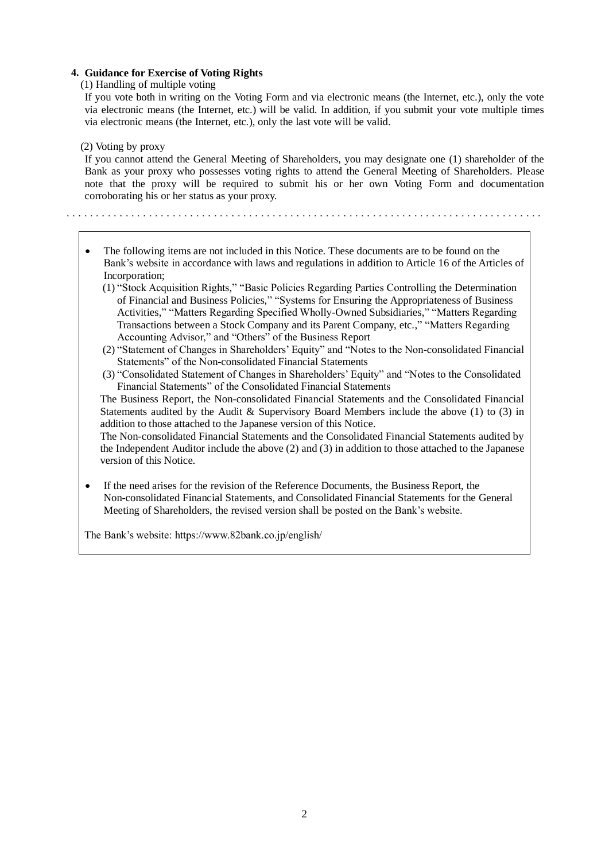### **4. Guidance for Exercise of Voting Rights**

(1) Handling of multiple voting

If you vote both in writing on the Voting Form and via electronic means (the Internet, etc.), only the vote via electronic means (the Internet, etc.) will be valid. In addition, if you submit your vote multiple times via electronic means (the Internet, etc.), only the last vote will be valid.

(2) Voting by proxy

If you cannot attend the General Meeting of Shareholders, you may designate one (1) shareholder of the Bank as your proxy who possesses voting rights to attend the General Meeting of Shareholders. Please note that the proxy will be required to submit his or her own Voting Form and documentation corroborating his or her status as your proxy.

- The following items are not included in this Notice. These documents are to be found on the Bank's website in accordance with laws and regulations in addition to Article 16 of the Articles of Incorporation;
	- (1) "Stock Acquisition Rights," "Basic Policies Regarding Parties Controlling the Determination of Financial and Business Policies," "Systems for Ensuring the Appropriateness of Business Activities," "Matters Regarding Specified Wholly-Owned Subsidiaries," "Matters Regarding Transactions between a Stock Company and its Parent Company, etc.," "Matters Regarding Accounting Advisor," and "Others" of the Business Report
	- (2) "Statement of Changes in Shareholders' Equity" and "Notes to the Non-consolidated Financial Statements" of the Non-consolidated Financial Statements
	- (3) "Consolidated Statement of Changes in Shareholders' Equity" and "Notes to the Consolidated Financial Statements" of the Consolidated Financial Statements

The Business Report, the Non-consolidated Financial Statements and the Consolidated Financial Statements audited by the Audit & Supervisory Board Members include the above (1) to (3) in addition to those attached to the Japanese version of this Notice.

The Non-consolidated Financial Statements and the Consolidated Financial Statements audited by the Independent Auditor include the above (2) and (3) in addition to those attached to the Japanese version of this Notice.

 If the need arises for the revision of the Reference Documents, the Business Report, the Non-consolidated Financial Statements, and Consolidated Financial Statements for the General Meeting of Shareholders, the revised version shall be posted on the Bank's website.

The Bank's website: https://www.82bank.co.jp/english/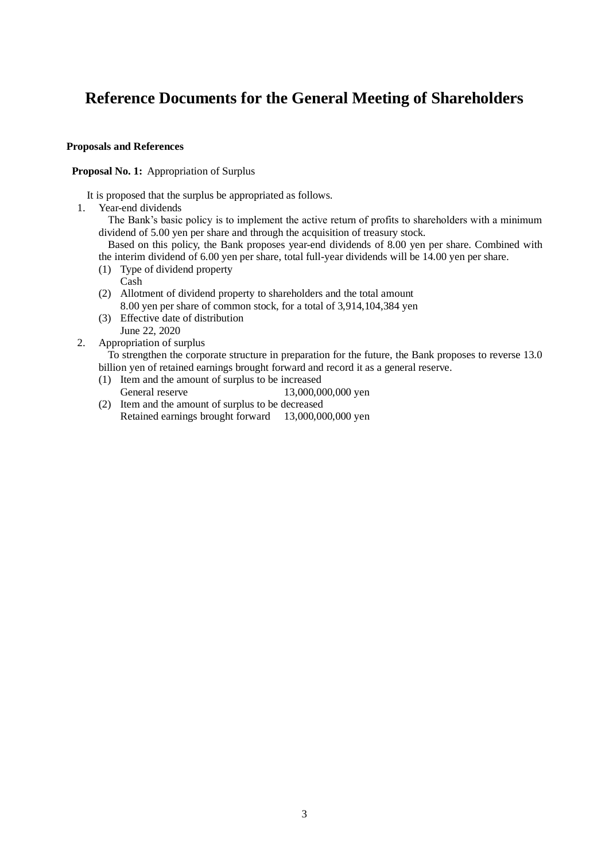# **Reference Documents for the General Meeting of Shareholders**

### **Proposals and References**

### **Proposal No. 1:** Appropriation of Surplus

It is proposed that the surplus be appropriated as follows.

1. Year-end dividends

The Bank's basic policy is to implement the active return of profits to shareholders with a minimum dividend of 5.00 yen per share and through the acquisition of treasury stock.

Based on this policy, the Bank proposes year-end dividends of 8.00 yen per share. Combined with the interim dividend of 6.00 yen per share, total full-year dividends will be 14.00 yen per share.

- (1) Type of dividend property
	- Cash
- (2) Allotment of dividend property to shareholders and the total amount 8.00 yen per share of common stock, for a total of 3,914,104,384 yen
- (3) Effective date of distribution June 22, 2020
- 2. Appropriation of surplus

To strengthen the corporate structure in preparation for the future, the Bank proposes to reverse 13.0 billion yen of retained earnings brought forward and record it as a general reserve.

- (1) Item and the amount of surplus to be increased
- General reserve 13,000,000,000 yen
- (2) Item and the amount of surplus to be decreased Retained earnings brought forward 13,000,000,000 yen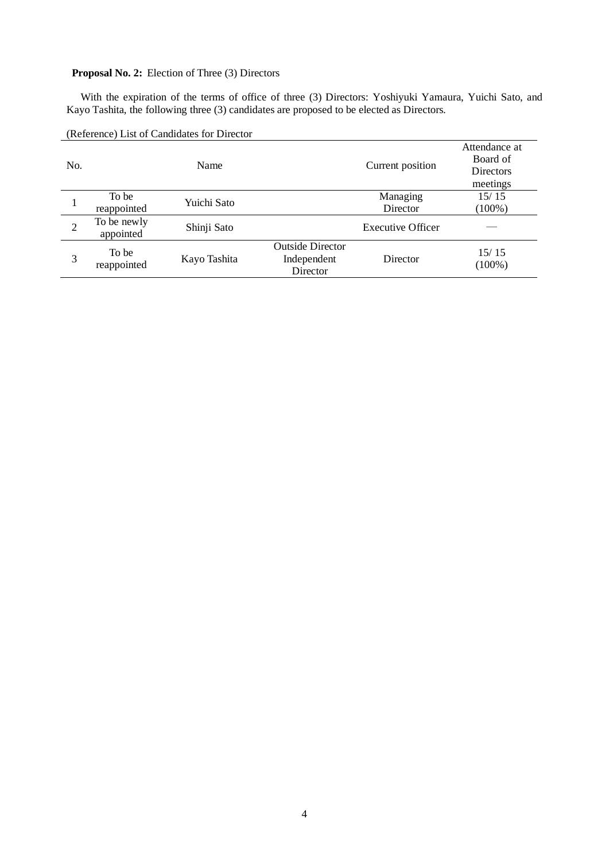### **Proposal No. 2:** Election of Three (3) Directors

With the expiration of the terms of office of three (3) Directors: Yoshiyuki Yamaura, Yuichi Sato, and Kayo Tashita, the following three (3) candidates are proposed to be elected as Directors.

| No.            |                          | Name         |                                                    | Current position         | Attendance at<br>Board of<br>Directors<br>meetings |
|----------------|--------------------------|--------------|----------------------------------------------------|--------------------------|----------------------------------------------------|
|                | To be<br>reappointed     | Yuichi Sato  |                                                    | Managing<br>Director     | 15/15<br>$(100\%)$                                 |
| $\overline{2}$ | To be newly<br>appointed | Shinji Sato  |                                                    | <b>Executive Officer</b> |                                                    |
| 3              | To be<br>reappointed     | Kayo Tashita | <b>Outside Director</b><br>Independent<br>Director | Director                 | 15/15<br>$(100\%)$                                 |

(Reference) List of Candidates for Director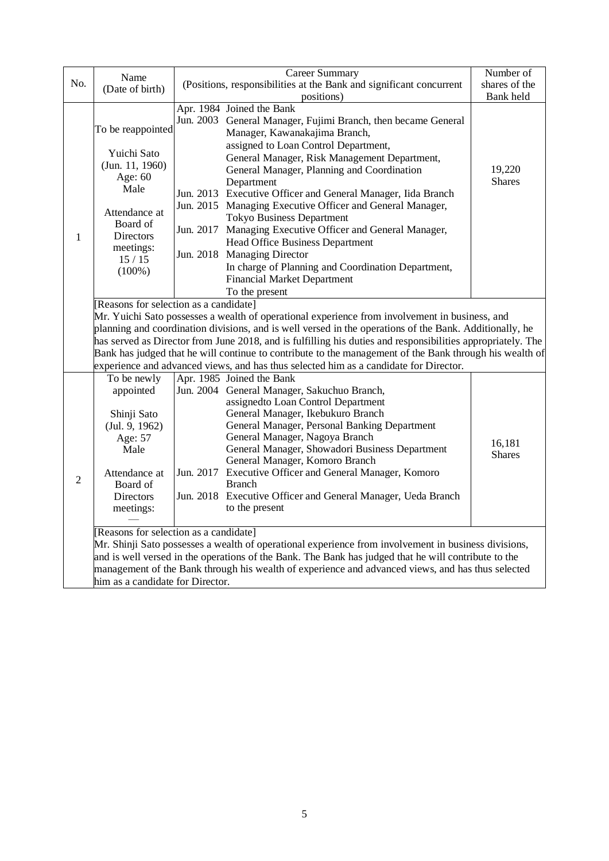|                | Name                                                                                                                                                                                                                                                                                                                                                                                                                                                                                                                                                                   | <b>Career Summary</b>                                                                                                                                                                                                                                                                                                                                                                                                                                                                                                                                                                                                                                                                         | Number of               |  |  |
|----------------|------------------------------------------------------------------------------------------------------------------------------------------------------------------------------------------------------------------------------------------------------------------------------------------------------------------------------------------------------------------------------------------------------------------------------------------------------------------------------------------------------------------------------------------------------------------------|-----------------------------------------------------------------------------------------------------------------------------------------------------------------------------------------------------------------------------------------------------------------------------------------------------------------------------------------------------------------------------------------------------------------------------------------------------------------------------------------------------------------------------------------------------------------------------------------------------------------------------------------------------------------------------------------------|-------------------------|--|--|
| No.            | (Date of birth)                                                                                                                                                                                                                                                                                                                                                                                                                                                                                                                                                        | (Positions, responsibilities at the Bank and significant concurrent                                                                                                                                                                                                                                                                                                                                                                                                                                                                                                                                                                                                                           | shares of the           |  |  |
|                |                                                                                                                                                                                                                                                                                                                                                                                                                                                                                                                                                                        | positions)                                                                                                                                                                                                                                                                                                                                                                                                                                                                                                                                                                                                                                                                                    | Bank held               |  |  |
| 1              | To be reappointed<br>Yuichi Sato<br>(Jun. 11, 1960)<br>Age: 60<br>Male<br>Attendance at<br>Board of<br><b>Directors</b><br>meetings:<br>15/15<br>$(100\%)$                                                                                                                                                                                                                                                                                                                                                                                                             | Apr. 1984 Joined the Bank<br>Jun. 2003 General Manager, Fujimi Branch, then became General<br>Manager, Kawanakajima Branch,<br>assigned to Loan Control Department,<br>General Manager, Risk Management Department,<br>General Manager, Planning and Coordination<br>Department<br>Jun. 2013 Executive Officer and General Manager, Iida Branch<br>Jun. 2015 Managing Executive Officer and General Manager,<br><b>Tokyo Business Department</b><br>Jun. 2017 Managing Executive Officer and General Manager,<br>Head Office Business Department<br>Jun. 2018 Managing Director<br>In charge of Planning and Coordination Department,<br><b>Financial Market Department</b><br>To the present | 19,220<br><b>Shares</b> |  |  |
|                | [Reasons for selection as a candidate]<br>Mr. Yuichi Sato possesses a wealth of operational experience from involvement in business, and<br>planning and coordination divisions, and is well versed in the operations of the Bank. Additionally, he<br>has served as Director from June 2018, and is fulfilling his duties and responsibilities appropriately. The<br>Bank has judged that he will continue to contribute to the management of the Bank through his wealth of<br>experience and advanced views, and has thus selected him as a candidate for Director. |                                                                                                                                                                                                                                                                                                                                                                                                                                                                                                                                                                                                                                                                                               |                         |  |  |
| $\overline{2}$ | To be newly<br>appointed<br>Shinji Sato<br>(Jul. 9, 1962)<br>Age: 57<br>Male<br>Attendance at<br>Board of<br><b>Directors</b><br>meetings:                                                                                                                                                                                                                                                                                                                                                                                                                             | Apr. 1985 Joined the Bank<br>Jun. 2004 General Manager, Sakuchuo Branch,<br>assignedto Loan Control Department<br>General Manager, Ikebukuro Branch<br>General Manager, Personal Banking Department<br>General Manager, Nagoya Branch<br>General Manager, Showadori Business Department<br>General Manager, Komoro Branch<br>Jun. 2017 Executive Officer and General Manager, Komoro<br><b>Branch</b><br>Jun. 2018 Executive Officer and General Manager, Ueda Branch<br>to the present                                                                                                                                                                                                       | 16,181<br><b>Shares</b> |  |  |
|                | him as a candidate for Director.                                                                                                                                                                                                                                                                                                                                                                                                                                                                                                                                       | [Reasons for selection as a candidate]<br>Mr. Shinji Sato possesses a wealth of operational experience from involvement in business divisions,<br>and is well versed in the operations of the Bank. The Bank has judged that he will contribute to the<br>management of the Bank through his wealth of experience and advanced views, and has thus selected                                                                                                                                                                                                                                                                                                                                   |                         |  |  |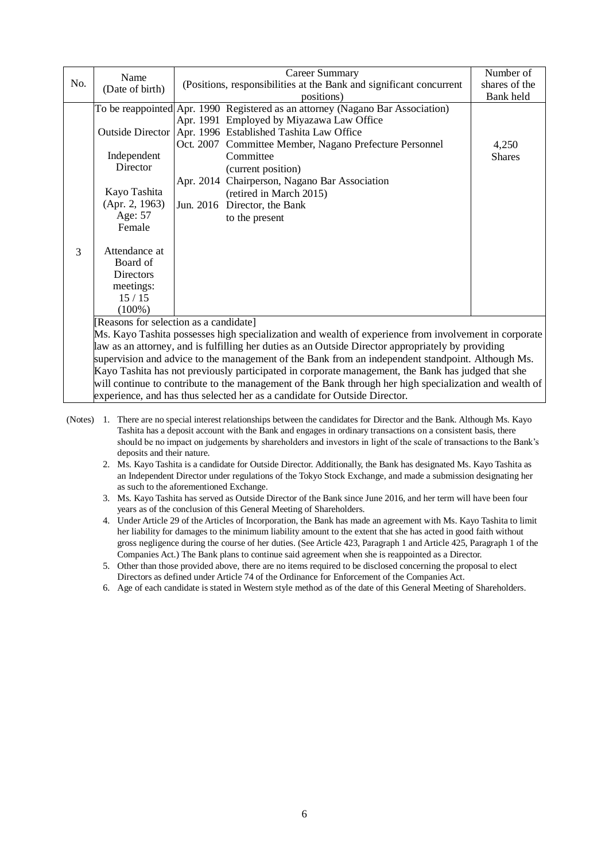|     | Name                    | <b>Career Summary</b>                                                                                   | Number of     |
|-----|-------------------------|---------------------------------------------------------------------------------------------------------|---------------|
| No. | (Date of birth)         | (Positions, responsibilities at the Bank and significant concurrent                                     | shares of the |
|     |                         | positions)                                                                                              | Bank held     |
|     |                         | To be reappointed Apr. 1990 Registered as an attorney (Nagano Bar Association)                          |               |
|     |                         | Apr. 1991 Employed by Miyazawa Law Office                                                               |               |
|     | <b>Outside Director</b> | Apr. 1996 Established Tashita Law Office                                                                |               |
|     |                         | Oct. 2007 Committee Member, Nagano Prefecture Personnel                                                 | 4,250         |
|     | Independent             | Committee                                                                                               | <b>Shares</b> |
|     | Director                | (current position)                                                                                      |               |
|     |                         | Apr. 2014 Chairperson, Nagano Bar Association                                                           |               |
|     | Kayo Tashita            | (retired in March 2015)                                                                                 |               |
|     | (Apr. 2, 1963)          | Jun. 2016 Director, the Bank                                                                            |               |
|     | Age: 57                 | to the present                                                                                          |               |
|     | Female                  |                                                                                                         |               |
|     |                         |                                                                                                         |               |
| 3   | Attendance at           |                                                                                                         |               |
|     | Board of                |                                                                                                         |               |
|     | <b>Directors</b>        |                                                                                                         |               |
|     | meetings:               |                                                                                                         |               |
|     | 15/15                   |                                                                                                         |               |
|     | $(100\%)$               |                                                                                                         |               |
|     |                         | [Reasons for selection as a candidate]                                                                  |               |
|     |                         | Ms. Kayo Tashita possesses high specialization and wealth of experience from involvement in corporate   |               |
|     |                         | law as an attorney, and is fulfilling her duties as an Outside Director appropriately by providing      |               |
|     |                         | supervision and advice to the management of the Bank from an independent standpoint. Although Ms.       |               |
|     |                         | Kayo Tashita has not previously participated in corporate management, the Bank has judged that she      |               |
|     |                         | will continue to contribute to the management of the Bank through her high specialization and wealth of |               |
|     |                         | experience, and has thus selected her as a candidate for Outside Director.                              |               |

- (Notes) 1. There are no special interest relationships between the candidates for Director and the Bank. Although Ms. Kayo Tashita has a deposit account with the Bank and engages in ordinary transactions on a consistent basis, there should be no impact on judgements by shareholders and investors in light of the scale of transactions to the Bank's deposits and their nature.
	- 2. Ms. Kayo Tashita is a candidate for Outside Director. Additionally, the Bank has designated Ms. Kayo Tashita as an Independent Director under regulations of the Tokyo Stock Exchange, and made a submission designating her as such to the aforementioned Exchange.
	- 3. Ms. Kayo Tashita has served as Outside Director of the Bank since June 2016, and her term will have been four years as of the conclusion of this General Meeting of Shareholders.
	- 4. Under Article 29 of the Articles of Incorporation, the Bank has made an agreement with Ms. Kayo Tashita to limit her liability for damages to the minimum liability amount to the extent that she has acted in good faith without gross negligence during the course of her duties. (See Article 423, Paragraph 1 and Article 425, Paragraph 1 of the Companies Act.) The Bank plans to continue said agreement when she is reappointed as a Director.
	- 5. Other than those provided above, there are no items required to be disclosed concerning the proposal to elect Directors as defined under Article 74 of the Ordinance for Enforcement of the Companies Act.
	- 6. Age of each candidate is stated in Western style method as of the date of this General Meeting of Shareholders.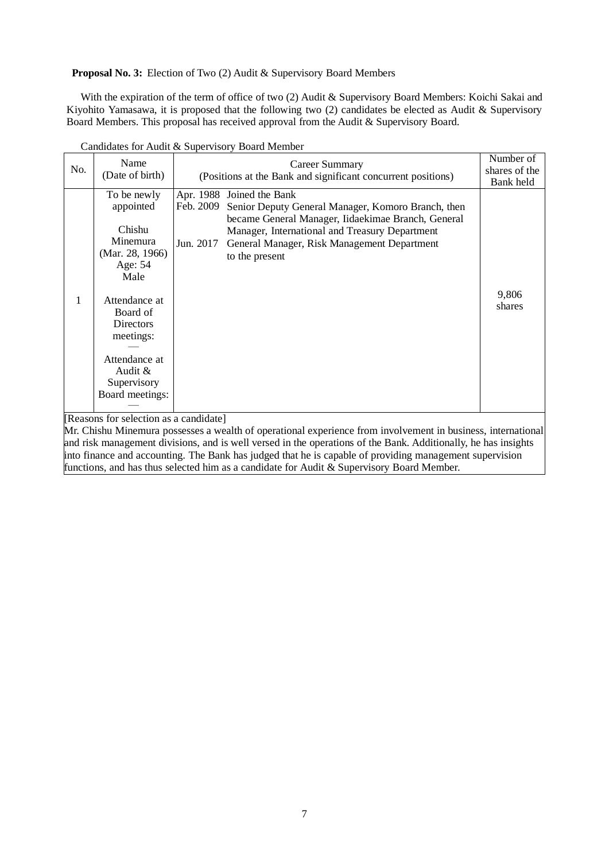**Proposal No. 3:** Election of Two (2) Audit & Supervisory Board Members

With the expiration of the term of office of two (2) Audit & Supervisory Board Members: Koichi Sakai and Kiyohito Yamasawa, it is proposed that the following two (2) candidates be elected as Audit & Supervisory Board Members. This proposal has received approval from the Audit & Supervisory Board.

| Apr. 1988 Joined the Bank<br>To be newly<br>appointed<br>Senior Deputy General Manager, Komoro Branch, then<br>Feb. 2009<br>became General Manager, Iidaekimae Branch, General<br>Chishu<br>Manager, International and Treasury Department<br>Minemura<br>Jun. 2017<br>General Manager, Risk Management Department<br>(Mar. 28, 1966)<br>to the present<br>Age: 54<br>Male<br>9,806<br>Attendance at<br>shares<br>Board of<br>Directors<br>meetings:<br>Attendance at<br>Audit &<br>Supervisory<br>Board meetings:<br>Decease for colocion as a condidatel | No. | Name<br>(Date of birth) | <b>Career Summary</b><br>(Positions at the Bank and significant concurrent positions) | Number of<br>shares of the<br>Bank held |
|------------------------------------------------------------------------------------------------------------------------------------------------------------------------------------------------------------------------------------------------------------------------------------------------------------------------------------------------------------------------------------------------------------------------------------------------------------------------------------------------------------------------------------------------------------|-----|-------------------------|---------------------------------------------------------------------------------------|-----------------------------------------|
|                                                                                                                                                                                                                                                                                                                                                                                                                                                                                                                                                            |     |                         |                                                                                       |                                         |

Candidates for Audit & Supervisory Board Member

[Reasons for selection as a candidate]

Mr. Chishu Minemura possesses a wealth of operational experience from involvement in business, international and risk management divisions, and is well versed in the operations of the Bank. Additionally, he has insights into finance and accounting. The Bank has judged that he is capable of providing management supervision functions, and has thus selected him as a candidate for Audit & Supervisory Board Member.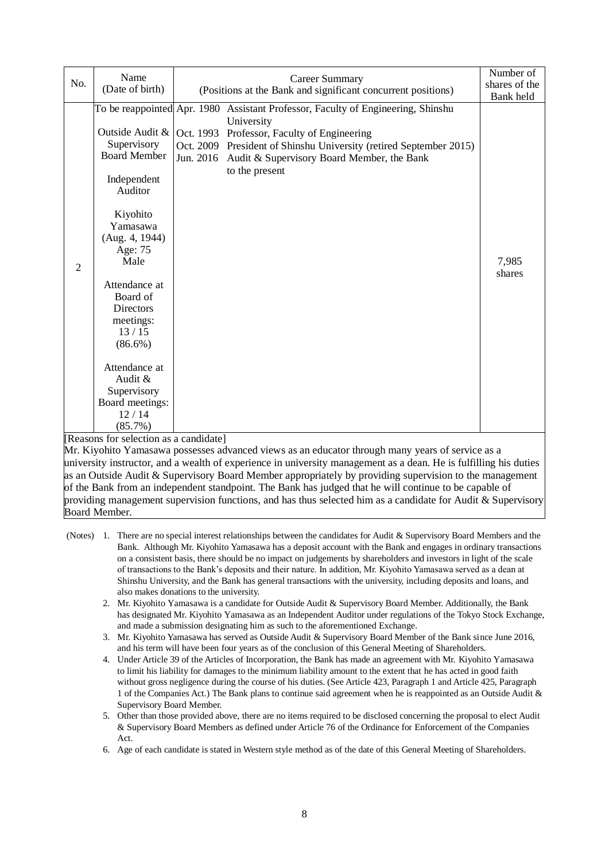| No.            | Name<br>(Date of birth)                                                                                                                                                                                                                                                                                             | <b>Career Summary</b><br>(Positions at the Bank and significant concurrent positions)                                                                                                                                                                                                         | Number of<br>shares of the<br>Bank held |
|----------------|---------------------------------------------------------------------------------------------------------------------------------------------------------------------------------------------------------------------------------------------------------------------------------------------------------------------|-----------------------------------------------------------------------------------------------------------------------------------------------------------------------------------------------------------------------------------------------------------------------------------------------|-----------------------------------------|
| $\overline{2}$ | Outside Audit &<br>Supervisory<br><b>Board Member</b><br>Independent<br>Auditor<br>Kiyohito<br>Yamasawa<br>(Aug. 4, 1944)<br>Age: 75<br>Male<br>Attendance at<br>Board of<br><b>Directors</b><br>meetings:<br>13/15<br>$(86.6\%)$<br>Attendance at<br>Audit &<br>Supervisory<br>Board meetings:<br>12/14<br>(85.7%) | To be reappointed Apr. 1980 Assistant Professor, Faculty of Engineering, Shinshu<br>University<br>Oct. 1993 Professor, Faculty of Engineering<br>Oct. 2009 President of Shinshu University (retired September 2015)<br>Jun. 2016 Audit & Supervisory Board Member, the Bank<br>to the present | 7,985<br>shares                         |

[Reasons for selection as a candidate]

Mr. Kiyohito Yamasawa possesses advanced views as an educator through many years of service as a university instructor, and a wealth of experience in university management as a dean. He is fulfilling his duties as an Outside Audit & Supervisory Board Member appropriately by providing supervision to the management of the Bank from an independent standpoint. The Bank has judged that he will continue to be capable of providing management supervision functions, and has thus selected him as a candidate for Audit & Supervisory Board Member.

- (Notes) 1. There are no special interest relationships between the candidates for Audit & Supervisory Board Members and the Bank. Although Mr. Kiyohito Yamasawa has a deposit account with the Bank and engages in ordinary transactions on a consistent basis, there should be no impact on judgements by shareholders and investors in light of the scale of transactions to the Bank's deposits and their nature. In addition, Mr. Kiyohito Yamasawa served as a dean at Shinshu University, and the Bank has general transactions with the university, including deposits and loans, and also makes donations to the university.
	- 2. Mr. Kiyohito Yamasawa is a candidate for Outside Audit & Supervisory Board Member. Additionally, the Bank has designated Mr. Kiyohito Yamasawa as an Independent Auditor under regulations of the Tokyo Stock Exchange, and made a submission designating him as such to the aforementioned Exchange.
	- 3. Mr. Kiyohito Yamasawa has served as Outside Audit & Supervisory Board Member of the Bank since June 2016, and his term will have been four years as of the conclusion of this General Meeting of Shareholders.
	- 4. Under Article 39 of the Articles of Incorporation, the Bank has made an agreement with Mr. Kiyohito Yamasawa to limit his liability for damages to the minimum liability amount to the extent that he has acted in good faith without gross negligence during the course of his duties. (See Article 423, Paragraph 1 and Article 425, Paragraph 1 of the Companies Act.) The Bank plans to continue said agreement when he is reappointed as an Outside Audit & Supervisory Board Member.
	- 5. Other than those provided above, there are no items required to be disclosed concerning the proposal to elect Audit & Supervisory Board Members as defined under Article 76 of the Ordinance for Enforcement of the Companies Act.
	- 6. Age of each candidate is stated in Western style method as of the date of this General Meeting of Shareholders.